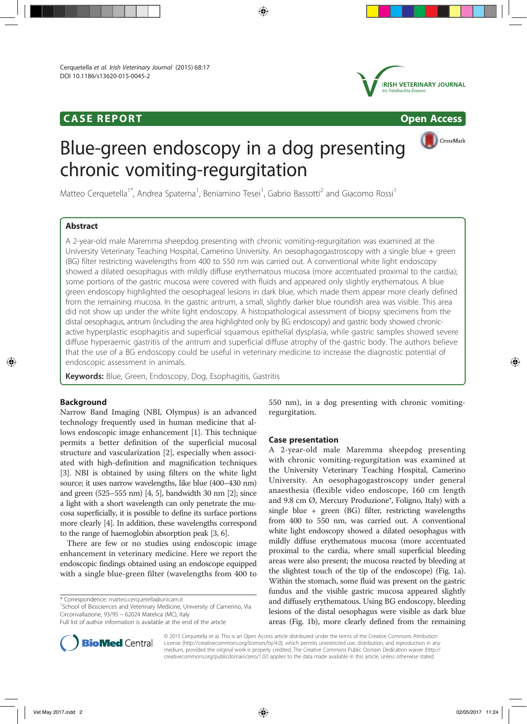# CASE REPORT Open Access



CrossMark

# Blue-green endoscopy in a dog presenting chronic vomiting-regurgitation

Matteo Cerquetella<sup>1\*</sup>, Andrea Spaterna<sup>1</sup>, Beniamino Tesei<sup>1</sup>, Gabrio Bassotti<sup>2</sup> and Giacomo Rossi<sup>1</sup>

# Abstract

A 2-year-old male Maremma sheepdog presenting with chronic vomiting-regurgitation was examined at the University Veterinary Teaching Hospital, Camerino University. An oesophagogastroscopy with a single blue + green (BG) filter restricting wavelengths from 400 to 550 nm was carried out. A conventional white light endoscopy showed a dilated oesophagus with mildly diffuse erythematous mucosa (more accentuated proximal to the cardia); some portions of the gastric mucosa were covered with fluids and appeared only slightly erythematous. A blue green endoscopy highlighted the oesophageal lesions in dark blue, which made them appear more clearly defined from the remaining mucosa. In the gastric antrum, a small, slightly darker blue roundish area was visible. This area did not show up under the white light endoscopy. A histopathological assessment of biopsy specimens from the distal oesophagus, antrum (including the area highlighted only by BG endoscopy) and gastric body showed chronicactive hyperplastic esophagitis and superficial squamous epithelial dysplasia, while gastric samples showed severe diffuse hyperaemic gastritis of the antrum and superficial diffuse atrophy of the gastric body. The authors believe that the use of a BG endoscopy could be useful in veterinary medicine to increase the diagnostic potential of endoscopic assessment in animals.

Keywords: Blue, Green, Endoscopy, Dog, Esophagitis, Gastritis

# **Background**

Narrow Band Imaging (NBI, Olympus) is an advanced technology frequently used in human medicine that allows endoscopic image enhancement [1]. This technique permits a better definition of the superficial mucosal structure and vascularization [2], especially when associated with high-definition and magnification techniques [3]. NBI is obtained by using filters on the white light source; it uses narrow wavelengths, like blue (400–430 nm) and green (525–555 nm) [4, 5], bandwidth 30 nm [2]; since a light with a short wavelength can only penetrate the mucosa superficially, it is possible to define its surface portions more clearly [4]. In addition, these wavelengths correspond to the range of haemoglobin absorption peak [3, 6].

There are few or no studies using endoscopic image enhancement in veterinary medicine. Here we report the endoscopic findings obtained using an endoscope equipped with a single blue-green filter (wavelengths from 400 to

\* Correspondence: matteo.cerquetella@unicam.it <sup>1</sup>

<sup>1</sup>School of Biosciences and Veterinary Medicine, University of Camerino, Via Circonvallazione, 93/95 – 62024 Matelica (MC), Italy

550 nm), in a dog presenting with chronic vomitingregurgitation.

## Case presentation

A 2-year-old male Maremma sheepdog presenting with chronic vomiting-regurgitation was examined at the University Veterinary Teaching Hospital, Camerino University. An oesophagogastroscopy under general anaesthesia (flexible video endoscope, 160 cm length and 9.8 cm Ø, Mercury Produzione®, Foligno, Italy) with a single blue + green  $(BG)$  filter, restricting wavelengths from 400 to 550 nm, was carried out. A conventional white light endoscopy showed a dilated oesophagus with mildly diffuse erythematous mucosa (more accentuated proximal to the cardia, where small superficial bleeding areas were also present; the mucosa reacted by bleeding at the slightest touch of the tip of the endoscope) (Fig. 1a). Within the stomach, some fluid was present on the gastric fundus and the visible gastric mucosa appeared slightly and diffusely erythematous. Using BG endoscopy, bleeding lesions of the distal oesophagus were visible as dark blue areas (Fig. 1b), more clearly defined from the remaining



© 2015 Cerquetella et al. This is an Open Access article distributed under the terms of the Creative Commons Attribution License (http://creativecommons.org/licenses/by/4.0), which permits unrestricted use, distribution, and reproduction in any medium, provided the original work is properly credited. The Creative Commons Public Domain Dedication waiver (http:// creativecommons.org/publicdomain/zero/1.0/) applies to the data made available in this article, unless otherwise stated.

Full list of author information is available at the end of the article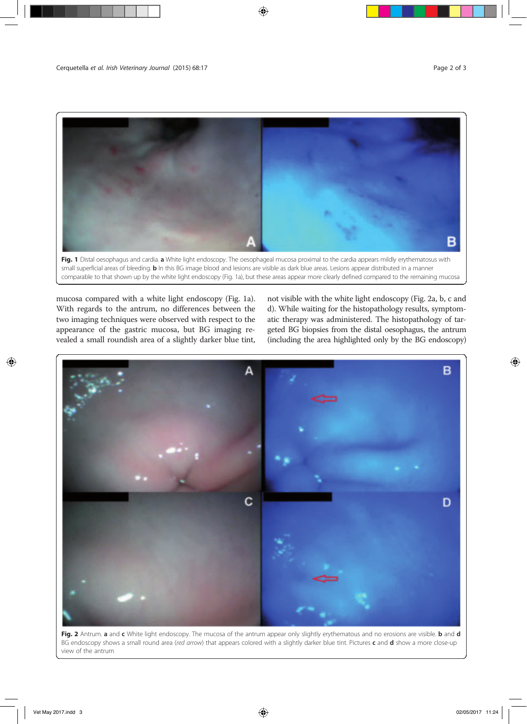

Fig. 1 Distal oesophagus and cardia. a White light endoscopy. The oesophageal mucosa proximal to the cardia appears mildly erythematosus with small superficial areas of bleeding. **b** In this BG image blood and lesions are visible as dark blue areas. Lesions appear distributed in a manner comparable to that shown up by the white light endoscopy (Fig. 1a), but these areas appear more clearly defined compared to the remaining mucosa

mucosa compared with a white light endoscopy (Fig. 1a). With regards to the antrum, no differences between the two imaging techniques were observed with respect to the appearance of the gastric mucosa, but BG imaging revealed a small roundish area of a slightly darker blue tint, not visible with the white light endoscopy (Fig. 2a, b, c and d). While waiting for the histopathology results, symptomatic therapy was administered. The histopathology of targeted BG biopsies from the distal oesophagus, the antrum (including the area highlighted only by the BG endoscopy)



Fig. 2 Antrum. a and c White light endoscopy. The mucosa of the antrum appear only slightly erythematous and no erosions are visible. b and d BG endoscopy shows a small round area (red arrow) that appears colored with a slightly darker blue tint. Pictures c and d show a more close-up view of the antrum